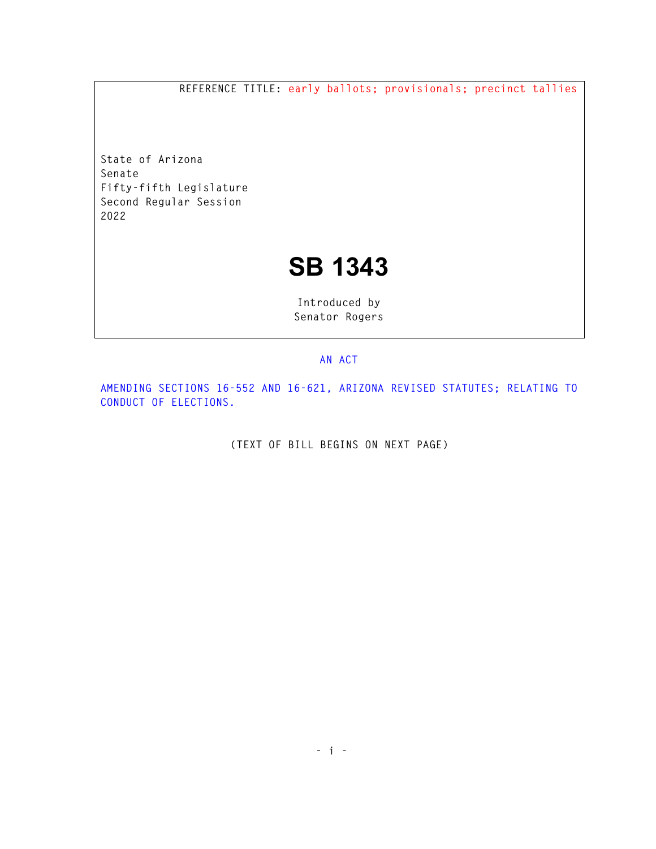**REFERENCE TITLE: early ballots; provisionals; precinct tallies** 

**State of Arizona Senate Fifty-fifth Legislature Second Regular Session 2022** 

## **SB 1343**

**Introduced by Senator Rogers** 

## **AN ACT**

**AMENDING SECTIONS 16-552 AND 16-621, ARIZONA REVISED STATUTES; RELATING TO CONDUCT OF ELECTIONS.** 

**(TEXT OF BILL BEGINS ON NEXT PAGE)**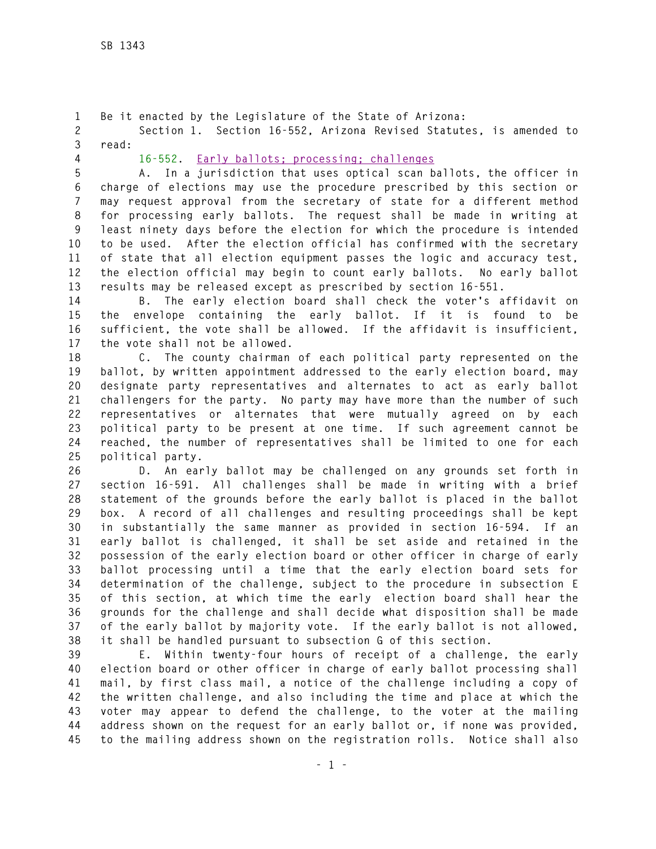**1 Be it enacted by the Legislature of the State of Arizona:** 

**2 Section 1. Section 16-552, Arizona Revised Statutes, is amended to 3 read:** 

**4 16-552. Early ballots; processing; challenges**

**5 A. In a jurisdiction that uses optical scan ballots, the officer in 6 charge of elections may use the procedure prescribed by this section or 7 may request approval from the secretary of state for a different method 8 for processing early ballots. The request shall be made in writing at 9 least ninety days before the election for which the procedure is intended 10 to be used. After the election official has confirmed with the secretary 11 of state that all election equipment passes the logic and accuracy test, 12 the election official may begin to count early ballots. No early ballot 13 results may be released except as prescribed by section 16-551.** 

**14 B. The early election board shall check the voter's affidavit on 15 the envelope containing the early ballot. If it is found to be 16 sufficient, the vote shall be allowed. If the affidavit is insufficient, 17 the vote shall not be allowed.** 

**18 C. The county chairman of each political party represented on the 19 ballot, by written appointment addressed to the early election board, may 20 designate party representatives and alternates to act as early ballot 21 challengers for the party. No party may have more than the number of such 22 representatives or alternates that were mutually agreed on by each 23 political party to be present at one time. If such agreement cannot be 24 reached, the number of representatives shall be limited to one for each 25 political party.** 

**26 D. An early ballot may be challenged on any grounds set forth in 27 section 16-591. All challenges shall be made in writing with a brief 28 statement of the grounds before the early ballot is placed in the ballot 29 box. A record of all challenges and resulting proceedings shall be kept 30 in substantially the same manner as provided in section 16-594. If an 31 early ballot is challenged, it shall be set aside and retained in the 32 possession of the early election board or other officer in charge of early 33 ballot processing until a time that the early election board sets for 34 determination of the challenge, subject to the procedure in subsection E 35 of this section, at which time the early election board shall hear the 36 grounds for the challenge and shall decide what disposition shall be made 37 of the early ballot by majority vote. If the early ballot is not allowed, 38 it shall be handled pursuant to subsection G of this section.** 

**39 E. Within twenty-four hours of receipt of a challenge, the early 40 election board or other officer in charge of early ballot processing shall 41 mail, by first class mail, a notice of the challenge including a copy of 42 the written challenge, and also including the time and place at which the 43 voter may appear to defend the challenge, to the voter at the mailing 44 address shown on the request for an early ballot or, if none was provided, 45 to the mailing address shown on the registration rolls. Notice shall also**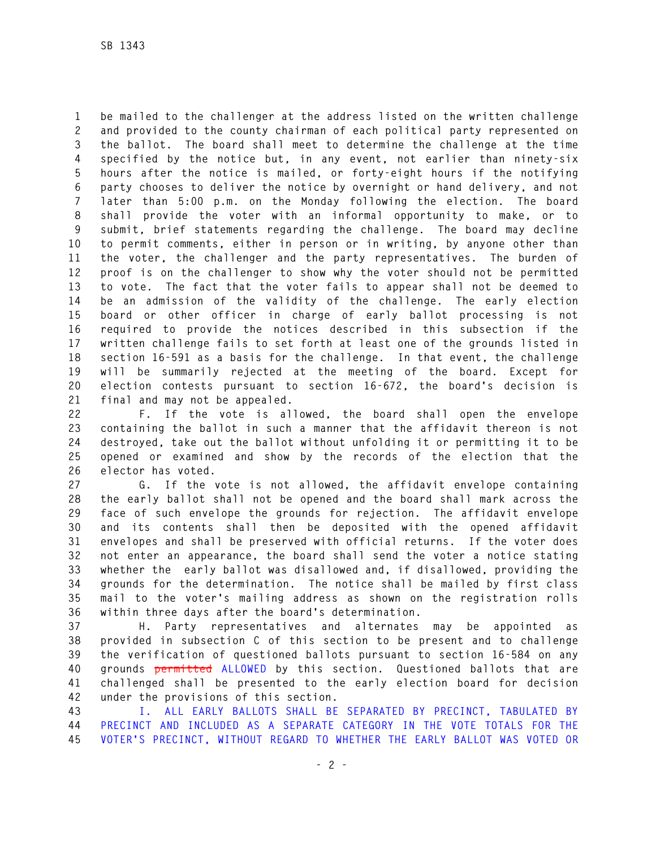**1 be mailed to the challenger at the address listed on the written challenge 2 and provided to the county chairman of each political party represented on 3 the ballot. The board shall meet to determine the challenge at the time 4 specified by the notice but, in any event, not earlier than ninety-six 5 hours after the notice is mailed, or forty-eight hours if the notifying 6 party chooses to deliver the notice by overnight or hand delivery, and not 7 later than 5:00 p.m. on the Monday following the election. The board 8 shall provide the voter with an informal opportunity to make, or to 9 submit, brief statements regarding the challenge. The board may decline 10 to permit comments, either in person or in writing, by anyone other than 11 the voter, the challenger and the party representatives. The burden of 12 proof is on the challenger to show why the voter should not be permitted 13 to vote. The fact that the voter fails to appear shall not be deemed to 14 be an admission of the validity of the challenge. The early election 15 board or other officer in charge of early ballot processing is not 16 required to provide the notices described in this subsection if the 17 written challenge fails to set forth at least one of the grounds listed in 18 section 16-591 as a basis for the challenge. In that event, the challenge 19 will be summarily rejected at the meeting of the board. Except for 20 election contests pursuant to section 16-672, the board's decision is 21 final and may not be appealed.** 

**22 F. If the vote is allowed, the board shall open the envelope 23 containing the ballot in such a manner that the affidavit thereon is not 24 destroyed, take out the ballot without unfolding it or permitting it to be 25 opened or examined and show by the records of the election that the 26 elector has voted.** 

**27 G. If the vote is not allowed, the affidavit envelope containing 28 the early ballot shall not be opened and the board shall mark across the 29 face of such envelope the grounds for rejection. The affidavit envelope 30 and its contents shall then be deposited with the opened affidavit 31 envelopes and shall be preserved with official returns. If the voter does 32 not enter an appearance, the board shall send the voter a notice stating 33 whether the early ballot was disallowed and, if disallowed, providing the 34 grounds for the determination. The notice shall be mailed by first class 35 mail to the voter's mailing address as shown on the registration rolls 36 within three days after the board's determination.** 

**37 H. Party representatives and alternates may be appointed as 38 provided in subsection C of this section to be present and to challenge 39 the verification of questioned ballots pursuant to section 16-584 on any 40 grounds permitted ALLOWED by this section. Questioned ballots that are 41 challenged shall be presented to the early election board for decision 42 under the provisions of this section.** 

**43 I. ALL EARLY BALLOTS SHALL BE SEPARATED BY PRECINCT, TABULATED BY 44 PRECINCT AND INCLUDED AS A SEPARATE CATEGORY IN THE VOTE TOTALS FOR THE 45 VOTER'S PRECINCT, WITHOUT REGARD TO WHETHER THE EARLY BALLOT WAS VOTED OR**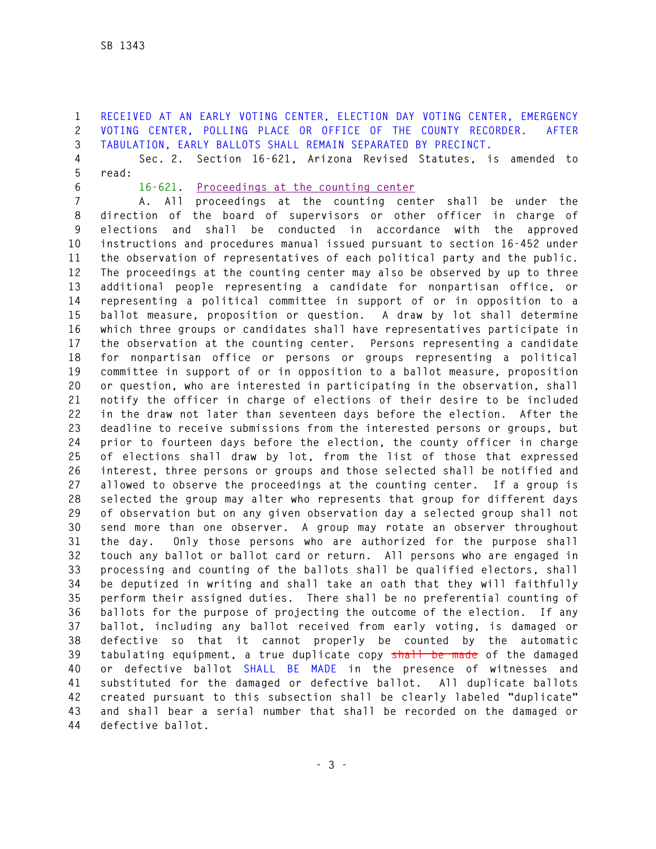**1 RECEIVED AT AN EARLY VOTING CENTER, ELECTION DAY VOTING CENTER, EMERGENCY 2 VOTING CENTER, POLLING PLACE OR OFFICE OF THE COUNTY RECORDER. AFTER 3 TABULATION, EARLY BALLOTS SHALL REMAIN SEPARATED BY PRECINCT.**

**4 Sec. 2. Section 16-621, Arizona Revised Statutes, is amended to 5 read:** 

**6 16-621. Proceedings at the counting center**

**7 A. All proceedings at the counting center shall be under the 8 direction of the board of supervisors or other officer in charge of 9 elections and shall be conducted in accordance with the approved 10 instructions and procedures manual issued pursuant to section 16-452 under 11 the observation of representatives of each political party and the public. 12 The proceedings at the counting center may also be observed by up to three 13 additional people representing a candidate for nonpartisan office, or 14 representing a political committee in support of or in opposition to a 15 ballot measure, proposition or question. A draw by lot shall determine 16 which three groups or candidates shall have representatives participate in 17 the observation at the counting center. Persons representing a candidate 18 for nonpartisan office or persons or groups representing a political 19 committee in support of or in opposition to a ballot measure, proposition 20 or question, who are interested in participating in the observation, shall 21 notify the officer in charge of elections of their desire to be included 22 in the draw not later than seventeen days before the election. After the 23 deadline to receive submissions from the interested persons or groups, but 24 prior to fourteen days before the election, the county officer in charge 25 of elections shall draw by lot, from the list of those that expressed 26 interest, three persons or groups and those selected shall be notified and 27 allowed to observe the proceedings at the counting center. If a group is 28 selected the group may alter who represents that group for different days 29 of observation but on any given observation day a selected group shall not 30 send more than one observer. A group may rotate an observer throughout 31 the day. Only those persons who are authorized for the purpose shall 32 touch any ballot or ballot card or return. All persons who are engaged in 33 processing and counting of the ballots shall be qualified electors, shall 34 be deputized in writing and shall take an oath that they will faithfully 35 perform their assigned duties. There shall be no preferential counting of 36 ballots for the purpose of projecting the outcome of the election. If any 37 ballot, including any ballot received from early voting, is damaged or 38 defective so that it cannot properly be counted by the automatic 39 tabulating equipment, a true duplicate copy shall be made of the damaged 40 or defective ballot SHALL BE MADE in the presence of witnesses and 41 substituted for the damaged or defective ballot. All duplicate ballots 42 created pursuant to this subsection shall be clearly labeled "duplicate" 43 and shall bear a serial number that shall be recorded on the damaged or 44 defective ballot.**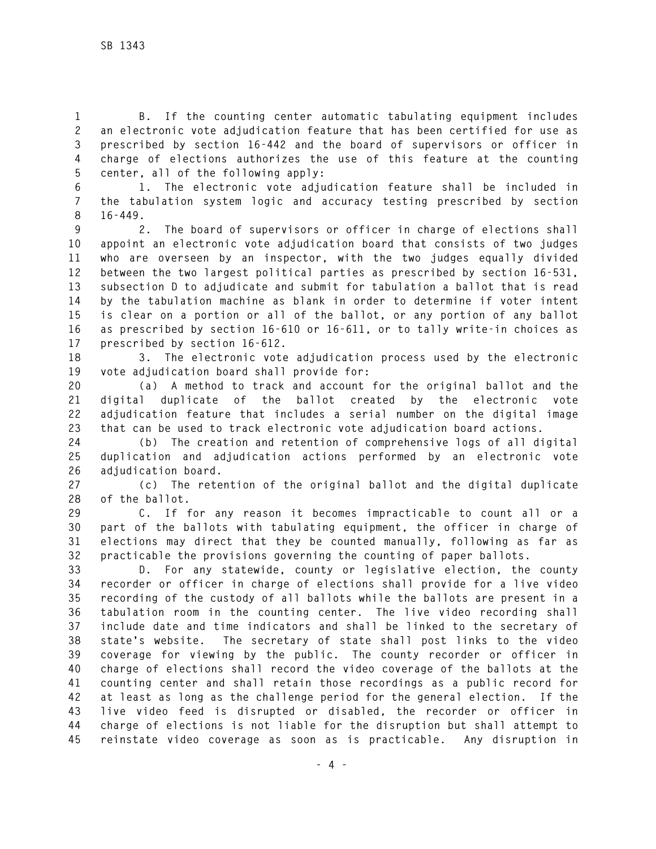**1 B. If the counting center automatic tabulating equipment includes 2 an electronic vote adjudication feature that has been certified for use as 3 prescribed by section 16-442 and the board of supervisors or officer in 4 charge of elections authorizes the use of this feature at the counting 5 center, all of the following apply:** 

**6 1. The electronic vote adjudication feature shall be included in 7 the tabulation system logic and accuracy testing prescribed by section 8 16-449.** 

**9 2. The board of supervisors or officer in charge of elections shall 10 appoint an electronic vote adjudication board that consists of two judges 11 who are overseen by an inspector, with the two judges equally divided 12 between the two largest political parties as prescribed by section 16-531, 13 subsection D to adjudicate and submit for tabulation a ballot that is read 14 by the tabulation machine as blank in order to determine if voter intent 15 is clear on a portion or all of the ballot, or any portion of any ballot 16 as prescribed by section 16-610 or 16-611, or to tally write-in choices as 17 prescribed by section 16-612.** 

**18 3. The electronic vote adjudication process used by the electronic 19 vote adjudication board shall provide for:** 

**20 (a) A method to track and account for the original ballot and the 21 digital duplicate of the ballot created by the electronic vote 22 adjudication feature that includes a serial number on the digital image 23 that can be used to track electronic vote adjudication board actions.** 

**24 (b) The creation and retention of comprehensive logs of all digital 25 duplication and adjudication actions performed by an electronic vote 26 adjudication board.** 

**27 (c) The retention of the original ballot and the digital duplicate 28 of the ballot.** 

**29 C. If for any reason it becomes impracticable to count all or a 30 part of the ballots with tabulating equipment, the officer in charge of 31 elections may direct that they be counted manually, following as far as 32 practicable the provisions governing the counting of paper ballots.** 

**33 D. For any statewide, county or legislative election, the county 34 recorder or officer in charge of elections shall provide for a live video 35 recording of the custody of all ballots while the ballots are present in a 36 tabulation room in the counting center. The live video recording shall 37 include date and time indicators and shall be linked to the secretary of 38 state's website. The secretary of state shall post links to the video 39 coverage for viewing by the public. The county recorder or officer in 40 charge of elections shall record the video coverage of the ballots at the 41 counting center and shall retain those recordings as a public record for 42 at least as long as the challenge period for the general election. If the 43 live video feed is disrupted or disabled, the recorder or officer in 44 charge of elections is not liable for the disruption but shall attempt to 45 reinstate video coverage as soon as is practicable. Any disruption in**